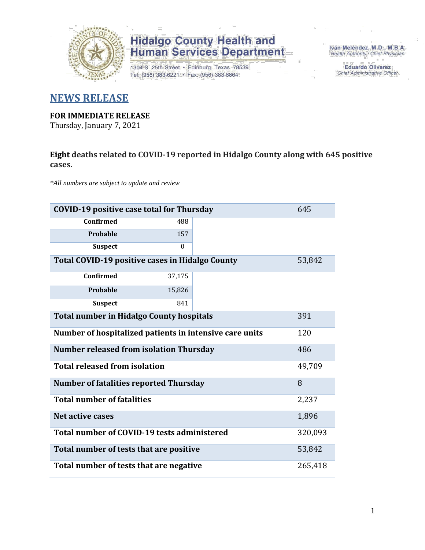

1304 S. 25th Street · Edinburg, Texas 78539 Tel: (956) 383-6221 · Fax: (956) 383-8864

Iván Meléndez, M.D., M.B.A. Health Authority / Chief Physician

> **Eduardo Olivarez** Chief Administrative Officer

#### **NEWS RELEASE**

#### **FOR IMMEDIATE RELEASE**

Thursday, January 7, 2021

#### **Eight deaths related to COVID-19 reported in Hidalgo County along with 645 positive cases.**

*\*All numbers are subject to update and review*

| 645<br><b>COVID-19 positive case total for Thursday</b>        |                                                |  |         |  |  |  |  |  |  |  |  |
|----------------------------------------------------------------|------------------------------------------------|--|---------|--|--|--|--|--|--|--|--|
| <b>Confirmed</b>                                               | 488                                            |  |         |  |  |  |  |  |  |  |  |
| Probable                                                       | 157                                            |  |         |  |  |  |  |  |  |  |  |
| <b>Suspect</b>                                                 | $\theta$                                       |  |         |  |  |  |  |  |  |  |  |
| Total COVID-19 positive cases in Hidalgo County                | 53,842                                         |  |         |  |  |  |  |  |  |  |  |
| <b>Confirmed</b>                                               | 37,175                                         |  |         |  |  |  |  |  |  |  |  |
| Probable                                                       | 15,826                                         |  |         |  |  |  |  |  |  |  |  |
| <b>Suspect</b>                                                 | 841                                            |  |         |  |  |  |  |  |  |  |  |
| <b>Total number in Hidalgo County hospitals</b><br>391         |                                                |  |         |  |  |  |  |  |  |  |  |
| Number of hospitalized patients in intensive care units<br>120 |                                                |  |         |  |  |  |  |  |  |  |  |
|                                                                | <b>Number released from isolation Thursday</b> |  | 486     |  |  |  |  |  |  |  |  |
| <b>Total released from isolation</b>                           |                                                |  | 49,709  |  |  |  |  |  |  |  |  |
|                                                                | <b>Number of fatalities reported Thursday</b>  |  | 8       |  |  |  |  |  |  |  |  |
| <b>Total number of fatalities</b>                              |                                                |  | 2,237   |  |  |  |  |  |  |  |  |
| <b>Net active cases</b>                                        |                                                |  | 1,896   |  |  |  |  |  |  |  |  |
|                                                                | Total number of COVID-19 tests administered    |  | 320,093 |  |  |  |  |  |  |  |  |
|                                                                | Total number of tests that are positive        |  | 53,842  |  |  |  |  |  |  |  |  |
| Total number of tests that are negative                        | 265,418                                        |  |         |  |  |  |  |  |  |  |  |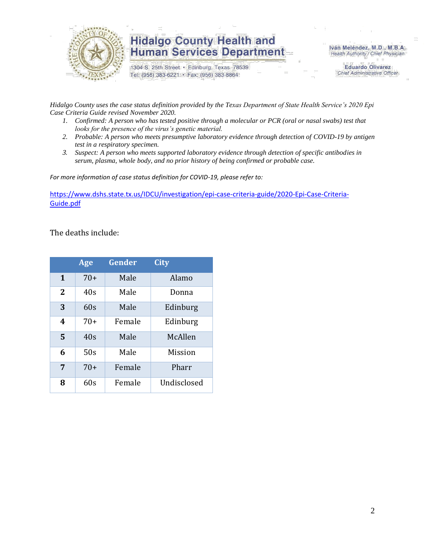

1304 S. 25th Street · Edinburg, Texas 78539 Tel: (956) 383-6221 · Fax: (956) 383-8864

Iván Meléndez, M.D., M.B.A. Health Authority / Chief Physician

> **Eduardo Olivarez** Chief Administrative Officer

*Hidalgo County uses the case status definition provided by the Texas Department of State Health Service's 2020 Epi Case Criteria Guide revised November 2020.*

- *1. Confirmed: A person who has tested positive through a molecular or PCR (oral or nasal swabs) test that looks for the presence of the virus's genetic material.*
- *2. Probable: A person who meets presumptive laboratory evidence through detection of COVID-19 by antigen test in a respiratory specimen.*
- *3. Suspect: A person who meets supported laboratory evidence through detection of specific antibodies in serum, plasma, whole body, and no prior history of being confirmed or probable case.*

*For more information of case status definition for COVID-19, please refer to:*

[https://www.dshs.state.tx.us/IDCU/investigation/epi-case-criteria-guide/2020-Epi-Case-Criteria-](https://www.dshs.state.tx.us/IDCU/investigation/epi-case-criteria-guide/2020-Epi-Case-Criteria-Guide.pdf)[Guide.pdf](https://www.dshs.state.tx.us/IDCU/investigation/epi-case-criteria-guide/2020-Epi-Case-Criteria-Guide.pdf)

The deaths include:

|   | Age   | Gender | <b>City</b> |
|---|-------|--------|-------------|
| 1 | $70+$ | Male   | Alamo       |
| 2 | 40s   | Male   | Donna       |
| 3 | 60s   | Male   | Edinburg    |
| 4 | $70+$ | Female | Edinburg    |
| 5 | 40s   | Male   | McAllen     |
| 6 | 50s   | Male   | Mission     |
| 7 | $70+$ | Female | Pharr       |
| 8 | 60s   | Female | Undisclosed |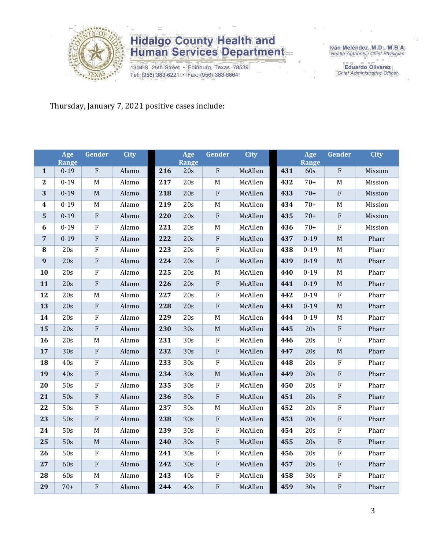

1304 S. 25th Street · Edinburg, Texas 78539 Tel: (956) 383-6221 · Fax: (956) 383-8864

Iván Meléndez, M.D., M.B.A.<br>Health Authority / Chief Physician

**Eduardo Olivarez** Chief Administrative Officer

Thursday, January 7, 2021 positive cases include:

|                  | Age<br>Range | Gender                  | <b>City</b> |     | Age<br>Range     | Gender                  | <b>City</b> |     | Age<br>Range | Gender         | <b>City</b> |
|------------------|--------------|-------------------------|-------------|-----|------------------|-------------------------|-------------|-----|--------------|----------------|-------------|
| $\mathbf{1}$     | $0 - 19$     | $\overline{\mathrm{F}}$ | Alamo       | 216 | 20s              | $\overline{\mathrm{F}}$ | McAllen     | 431 | 60s          | $\rm F$        | Mission     |
| $\mathbf{2}$     | $0 - 19$     | M                       | Alamo       | 217 | 20s              | $\mathbf M$             | McAllen     | 432 | $70+$        | M              | Mission     |
| 3                | $0 - 19$     | M                       | Alamo       | 218 | 20s              | $\rm F$                 | McAllen     | 433 | $70+$        | $\rm F$        | Mission     |
| $\boldsymbol{4}$ | $0 - 19$     | M                       | Alamo       | 219 | 20s              | $\mathbf M$             | McAllen     | 434 | $70+$        | M              | Mission     |
| 5                | $0 - 19$     | ${\bf F}$               | Alamo       | 220 | 20s              | $\rm F$                 | McAllen     | 435 | $70+$        | $\rm F$        | Mission     |
| 6                | $0 - 19$     | ${\bf F}$               | Alamo       | 221 | 20s              | $\mathbf M$             | McAllen     | 436 | $70+$        | $\overline{F}$ | Mission     |
| $\overline{7}$   | $0 - 19$     | ${\bf F}$               | Alamo       | 222 | 20s              | ${\bf F}$               | McAllen     | 437 | $0 - 19$     | M              | Pharr       |
| ${\bf 8}$        | 20s          | $\overline{\mathrm{F}}$ | Alamo       | 223 | $\overline{20s}$ | $\overline{F}$          | McAllen     | 438 | $0 - 19$     | $\mathbf M$    | Pharr       |
| 9                | 20s          | ${\bf F}$               | Alamo       | 224 | 20s              | $\rm F$                 | McAllen     | 439 | $0 - 19$     | $\mathbf M$    | Pharr       |
| 10               | 20s          | $\overline{F}$          | Alamo       | 225 | 20s              | $\mathbf M$             | McAllen     | 440 | $0 - 19$     | $\mathbf M$    | Pharr       |
| 11               | 20s          | ${\bf F}$               | Alamo       | 226 | 20s              | $\rm F$                 | McAllen     | 441 | $0 - 19$     | $\mathbf M$    | Pharr       |
| 12               | 20s          | $\mathbf M$             | Alamo       | 227 | 20s              | $\overline{F}$          | McAllen     | 442 | $0 - 19$     | $\rm F$        | Pharr       |
| 13               | 20s          | ${\bf F}$               | Alamo       | 228 | 20s              | $\overline{F}$          | McAllen     | 443 | $0 - 19$     | M              | Pharr       |
| 14               | 20s          | ${\bf F}$               | Alamo       | 229 | 20s              | M                       | McAllen     | 444 | $0 - 19$     | M              | Pharr       |
| 15               | 20s          | ${\bf F}$               | Alamo       | 230 | 30s              | $\mathbf M$             | McAllen     | 445 | 20s          | ${\bf F}$      | Pharr       |
| 16               | 20s          | $\mathbf M$             | Alamo       | 231 | 30s              | $\rm F$                 | McAllen     | 446 | 20s          | $\rm F$        | Pharr       |
| 17               | 30s          | ${\bf F}$               | Alamo       | 232 | 30s              | $\rm F$                 | McAllen     | 447 | 20s          | $\mathbf M$    | Pharr       |
| 18               | 40s          | $\rm F$                 | Alamo       | 233 | 30s              | $\rm F$                 | McAllen     | 448 | 20s          | $\rm F$        | Pharr       |
| 19               | 40s          | ${\bf F}$               | Alamo       | 234 | 30s              | $\mathbf M$             | McAllen     | 449 | 20s          | ${\bf F}$      | Pharr       |
| 20               | 50s          | ${\bf F}$               | Alamo       | 235 | 30s              | $\rm F$                 | McAllen     | 450 | 20s          | $\rm F$        | Pharr       |
| 21               | 50s          | $\overline{F}$          | Alamo       | 236 | 30s              | $\overline{F}$          | McAllen     | 451 | 20s          | $\overline{F}$ | Pharr       |
| 22               | 50s          | ${\bf F}$               | Alamo       | 237 | 30s              | M                       | McAllen     | 452 | 20s          | $\rm F$        | Pharr       |
| 23               | 50s          | $\overline{F}$          | Alamo       | 238 | 30s              | ${\bf F}$               | McAllen     | 453 | 20s          | $\overline{F}$ | Pharr       |
| 24               | 50s          | M                       | Alamo       | 239 | 30s              | $\mathbf F$             | McAllen     | 454 | 20s          | $\rm F$        | Pharr       |
| 25               | 50s          | $\mathbf M$             | Alamo       | 240 | 30s              | $\rm F$                 | McAllen     | 455 | 20s          | $\rm F$        | Pharr       |
| 26               | 50s          | ${\bf F}$               | Alamo       | 241 | 30s              | $\rm F$                 | McAllen     | 456 | 20s          | $\rm F$        | Pharr       |
| 27               | 60s          | ${\bf F}$               | Alamo       | 242 | 30s              | $\rm F$                 | McAllen     | 457 | 20s          | $\rm F$        | Pharr       |
| 28               | 60s          | $\mathbf M$             | Alamo       | 243 | 40s              | $\rm F$                 | McAllen     | 458 | 30s          | $\rm F$        | Pharr       |
| 29               | $70+$        | ${\bf F}$               | Alamo       | 244 | 40s              | $\rm F$                 | McAllen     | 459 | 30s          | $\rm F$        | Pharr       |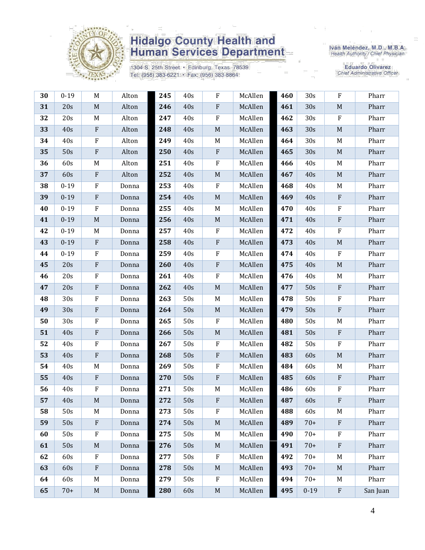

1304 S. 25th Street · Edinburg, Texas 78539 Tel: (956) 383-6221 · Fax: (956) 383-8864

Iván Meléndez, M.D., M.B.A.<br>Health Authority / Chief Physician

| 30 | $0 - 19$        | M                         | Alton | 245 | 40s | F           | McAllen | 460 | 30s      | ${\bf F}$                 | Pharr    |
|----|-----------------|---------------------------|-------|-----|-----|-------------|---------|-----|----------|---------------------------|----------|
| 31 | 20s             | $\mathbf M$               | Alton | 246 | 40s | ${\bf F}$   | McAllen | 461 | 30s      | $\mathbf M$               | Pharr    |
| 32 | 20s             | M                         | Alton | 247 | 40s | ${\bf F}$   | McAllen | 462 | 30s      | $\mathbf{F}$              | Pharr    |
| 33 | 40s             | ${\bf F}$                 | Alton | 248 | 40s | $\mathbf M$ | McAllen | 463 | 30s      | $\mathbf M$               | Pharr    |
| 34 | 40s             | ${\bf F}$                 | Alton | 249 | 40s | M           | McAllen | 464 | 30s      | M                         | Pharr    |
| 35 | 50s             | $\boldsymbol{\mathrm{F}}$ | Alton | 250 | 40s | ${\bf F}$   | McAllen | 465 | 30s      | M                         | Pharr    |
| 36 | 60s             | M                         | Alton | 251 | 40s | ${\bf F}$   | McAllen | 466 | 40s      | M                         | Pharr    |
| 37 | 60s             | $\boldsymbol{\mathrm{F}}$ | Alton | 252 | 40s | $\mathbf M$ | McAllen | 467 | 40s      | $\mathbf M$               | Pharr    |
| 38 | $0 - 19$        | $\rm F$                   | Donna | 253 | 40s | ${\bf F}$   | McAllen | 468 | 40s      | M                         | Pharr    |
| 39 | $0 - 19$        | $\boldsymbol{\mathrm{F}}$ | Donna | 254 | 40s | $\mathbf M$ | McAllen | 469 | 40s      | $\, {\bf F}$              | Pharr    |
| 40 | $0 - 19$        | $\mathbf F$               | Donna | 255 | 40s | M           | McAllen | 470 | 40s      | $\rm F$                   | Pharr    |
| 41 | $0 - 19$        | $\mathbf M$               | Donna | 256 | 40s | $\mathbf M$ | McAllen | 471 | 40s      | $\rm F$                   | Pharr    |
| 42 | $0 - 19$        | M                         | Donna | 257 | 40s | F           | McAllen | 472 | 40s      | $\rm F$                   | Pharr    |
| 43 | $0 - 19$        | $\rm F$                   | Donna | 258 | 40s | ${\bf F}$   | McAllen | 473 | 40s      | $\mathbf M$               | Pharr    |
| 44 | $0 - 19$        | ${\bf F}$                 | Donna | 259 | 40s | ${\bf F}$   | McAllen | 474 | 40s      | ${\bf F}$                 | Pharr    |
| 45 | 20s             | $\boldsymbol{\mathrm{F}}$ | Donna | 260 | 40s | ${\bf F}$   | McAllen | 475 | 40s      | M                         | Pharr    |
| 46 | 20s             | F                         | Donna | 261 | 40s | ${\bf F}$   | McAllen | 476 | 40s      | M                         | Pharr    |
| 47 | 20s             | ${\bf F}$                 | Donna | 262 | 40s | $\mathbf M$ | McAllen | 477 | 50s      | $\rm F$                   | Pharr    |
| 48 | 30s             | ${\bf F}$                 | Donna | 263 | 50s | M           | McAllen | 478 | 50s      | ${\bf F}$                 | Pharr    |
| 49 | 30s             | $\boldsymbol{\mathrm{F}}$ | Donna | 264 | 50s | $\mathbf M$ | McAllen | 479 | 50s      | $\rm F$                   | Pharr    |
| 50 | 30 <sub>s</sub> | ${\bf F}$                 | Donna | 265 | 50s | F           | McAllen | 480 | 50s      | M                         | Pharr    |
| 51 | 40s             | $\boldsymbol{\mathrm{F}}$ | Donna | 266 | 50s | $\mathbf M$ | McAllen | 481 | 50s      | $\rm F$                   | Pharr    |
| 52 | 40s             | ${\bf F}$                 | Donna | 267 | 50s | $\rm F$     | McAllen | 482 | 50s      | ${\bf F}$                 | Pharr    |
| 53 | 40s             | $\boldsymbol{\mathrm{F}}$ | Donna | 268 | 50s | ${\bf F}$   | McAllen | 483 | 60s      | $\mathbf M$               | Pharr    |
| 54 | 40s             | M                         | Donna | 269 | 50s | ${\bf F}$   | McAllen | 484 | 60s      | M                         | Pharr    |
| 55 | 40s             | $\rm F$                   | Donna | 270 | 50s | ${\bf F}$   | McAllen | 485 | 60s      | $\boldsymbol{\mathrm{F}}$ | Pharr    |
| 56 | 40s             | F                         | Donna | 271 | 50s | M           | McAllen | 486 | 60s      | $\rm F$                   | Pharr    |
| 57 | 40s             | $\mathbf M$               | Donna | 272 | 50s | ${\bf F}$   | McAllen | 487 | 60s      | ${\bf F}$                 | Pharr    |
| 58 | 50s             | M                         | Donna | 273 | 50s | F           | McAllen | 488 | 60s      | M                         | Pharr    |
| 59 | 50s             | $\rm F$                   | Donna | 274 | 50s | $\mathbf M$ | McAllen | 489 | $70+$    | $\mathbf{F}$              | Pharr    |
| 60 | 50s             | F                         | Donna | 275 | 50s | M           | McAllen | 490 | $70+$    | $\mathbf{F}$              | Pharr    |
| 61 | 50s             | M                         | Donna | 276 | 50s | $\mathbf M$ | McAllen | 491 | $70+$    | $\mathbf{F}$              | Pharr    |
| 62 | 60s             | $\rm F$                   | Donna | 277 | 50s | ${\bf F}$   | McAllen | 492 | $70+$    | M                         | Pharr    |
| 63 | 60s             | $\mathbf{F}$              | Donna | 278 | 50s | $\mathbf M$ | McAllen | 493 | $70+$    | $M_{\odot}$               | Pharr    |
| 64 | 60s             | M                         | Donna | 279 | 50s | F           | McAllen | 494 | $70+$    | M                         | Pharr    |
| 65 | $70+$           | $\mathbf M$               | Donna | 280 | 60s | $\mathbf M$ | McAllen | 495 | $0 - 19$ | $\rm F$                   | San Juan |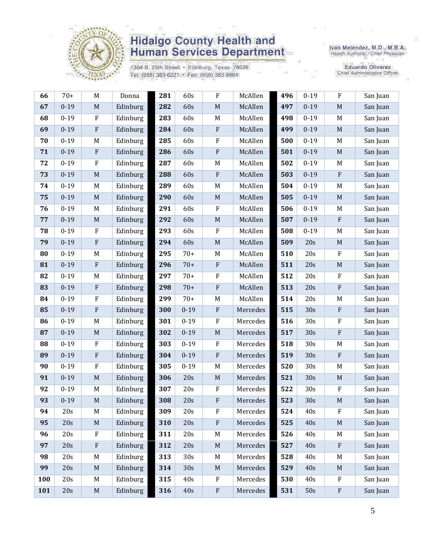

1304 S. 25th Street · Edinburg, Texas 78539 Tel: (956) 383-6221 · Fax: (956) 383-8864

Iván Meléndez, M.D., M.B.A.<br>Health Authority / Chief Physician

| 66         | $70+$    | $\mathbf M$               | Donna    | 281 | 60s      | $\rm F$                   | McAllen  | 496 | $0 - 19$ | $\rm F$                   | San Juan |
|------------|----------|---------------------------|----------|-----|----------|---------------------------|----------|-----|----------|---------------------------|----------|
| 67         | $0 - 19$ | $\mathbf M$               | Edinburg | 282 | 60s      | $\mathbf M$               | McAllen  | 497 | $0 - 19$ | $\mathbf M$               | San Juan |
| 68         | $0 - 19$ | F                         | Edinburg | 283 | 60s      | M                         | McAllen  | 498 | $0 - 19$ | M                         | San Juan |
| 69         | $0 - 19$ | ${\bf F}$                 | Edinburg | 284 | 60s      | $\boldsymbol{\mathrm{F}}$ | McAllen  | 499 | $0 - 19$ | $\mathbf M$               | San Juan |
| 70         | $0 - 19$ | M                         | Edinburg | 285 | 60s      | ${\bf F}$                 | McAllen  | 500 | $0 - 19$ | M                         | San Juan |
| 71         | $0 - 19$ | $\boldsymbol{\mathrm{F}}$ | Edinburg | 286 | 60s      | ${\bf F}$                 | McAllen  | 501 | $0 - 19$ | $\mathbf M$               | San Juan |
| 72         | $0 - 19$ | $\rm F$                   | Edinburg | 287 | 60s      | $\mathbf M$               | McAllen  | 502 | $0 - 19$ | M                         | San Juan |
| 73         | $0 - 19$ | $\mathbf M$               | Edinburg | 288 | 60s      | ${\bf F}$                 | McAllen  | 503 | $0 - 19$ | $\rm F$                   | San Juan |
| 74         | $0 - 19$ | M                         | Edinburg | 289 | 60s      | $M_{\odot}$               | McAllen  | 504 | $0 - 19$ | $\mathbf M$               | San Juan |
| 75         | $0 - 19$ | $\mathbf M$               | Edinburg | 290 | 60s      | $\mathbf M$               | McAllen  | 505 | $0 - 19$ | $\mathbf M$               | San Juan |
| 76         | $0 - 19$ | M                         | Edinburg | 291 | 60s      | ${\bf F}$                 | McAllen  | 506 | $0 - 19$ | M                         | San Juan |
| ${\bf 77}$ | $0 - 19$ | $\mathbf M$               | Edinburg | 292 | 60s      | $\mathbf M$               | McAllen  | 507 | $0 - 19$ | $\rm F$                   | San Juan |
| 78         | $0 - 19$ | $\mathbf{F}$              | Edinburg | 293 | 60s      | F                         | McAllen  | 508 | $0 - 19$ | M                         | San Juan |
| 79         | $0 - 19$ | $\rm F$                   | Edinburg | 294 | 60s      | $\mathbf M$               | McAllen  | 509 | 20s      | $\mathbf M$               | San Juan |
| 80         | $0 - 19$ | M                         | Edinburg | 295 | $70+$    | $\mathbf M$               | McAllen  | 510 | 20s      | $\rm F$                   | San Juan |
| 81         | $0 - 19$ | $\boldsymbol{\mathrm{F}}$ | Edinburg | 296 | $70+$    | ${\bf F}$                 | McAllen  | 511 | 20s      | $\mathbf M$               | San Juan |
| 82         | $0 - 19$ | M                         | Edinburg | 297 | $70+$    | ${\bf F}$                 | McAllen  | 512 | 20s      | $\rm F$                   | San Juan |
| 83         | $0 - 19$ | $\rm F$                   | Edinburg | 298 | $70+$    | ${\bf F}$                 | McAllen  | 513 | 20s      | $\rm F$                   | San Juan |
| 84         | $0 - 19$ | ${\bf F}$                 | Edinburg | 299 | $70+$    | $\mathbf M$               | McAllen  | 514 | 20s      | M                         | San Juan |
| 85         | $0 - 19$ | $\rm F$                   | Edinburg | 300 | $0 - 19$ | ${\bf F}$                 | Mercedes | 515 | 30s      | $\rm F$                   | San Juan |
| 86         | $0 - 19$ | M                         | Edinburg | 301 | $0 - 19$ | ${\bf F}$                 | Mercedes | 516 | 30s      | $\rm F$                   | San Juan |
| 87         | $0 - 19$ | $\mathbf M$               | Edinburg | 302 | $0 - 19$ | $\mathbf M$               | Mercedes | 517 | 30s      | $\rm F$                   | San Juan |
| 88         | $0 - 19$ | ${\bf F}$                 | Edinburg | 303 | $0 - 19$ | $\rm F$                   | Mercedes | 518 | 30s      | $\mathbf M$               | San Juan |
| 89         | $0 - 19$ | $\rm F$                   | Edinburg | 304 | $0 - 19$ | ${\bf F}$                 | Mercedes | 519 | 30s      | $\mathbf{F}$              | San Juan |
| 90         | $0 - 19$ | ${\bf F}$                 | Edinburg | 305 | $0 - 19$ | $\mathbf M$               | Mercedes | 520 | 30s      | M                         | San Juan |
| 91         | $0 - 19$ | $\mathbf M$               | Edinburg | 306 | 20s      | $\mathbf M$               | Mercedes | 521 | 30s      | $\mathbf M$               | San Juan |
| 92         | $0 - 19$ | M                         | Edinburg | 307 | 20s      | F                         | Mercedes | 522 | 30s      | $\mathbf F$               | San Juan |
| 93         | $0 - 19$ | $\mathbf M$               | Edinburg | 308 | 20s      | ${\bf F}$                 | Mercedes | 523 | 30s      | $\mathbf M$               | San Juan |
| 94         | 20s      | M                         | Edinburg | 309 | 20s      | ${\bf F}$                 | Mercedes | 524 | 40s      | $\rm F$                   | San Juan |
| 95         | 20s      | $\mathbf M$               | Edinburg | 310 | 20s      | ${\bf F}$                 | Mercedes | 525 | 40s      | $\mathbf M$               | San Juan |
| 96         | 20s      | ${\bf F}$                 | Edinburg | 311 | 20s      | $\mathbf M$               | Mercedes | 526 | 40s      | M                         | San Juan |
| 97         | 20s      | $\rm F$                   | Edinburg | 312 | 20s      | $\mathbf M$               | Mercedes | 527 | 40s      | $\rm F$                   | San Juan |
| 98         | 20s      | M                         | Edinburg | 313 | 30s      | M                         | Mercedes | 528 | 40s      | M                         | San Juan |
| 99         | 20s      | $\mathbf M$               | Edinburg | 314 | 30s      | $\mathbf M$               | Mercedes | 529 | 40s      | $\mathbf M$               | San Juan |
| 100        | 20s      | M                         | Edinburg | 315 | 40s      | ${\bf F}$                 | Mercedes | 530 | 40s      | $\mathbf F$               | San Juan |
| 101        | 20s      | $\mathbf M$               | Edinburg | 316 | 40s      | ${\bf F}$                 | Mercedes | 531 | 50s      | $\boldsymbol{\mathrm{F}}$ | San Juan |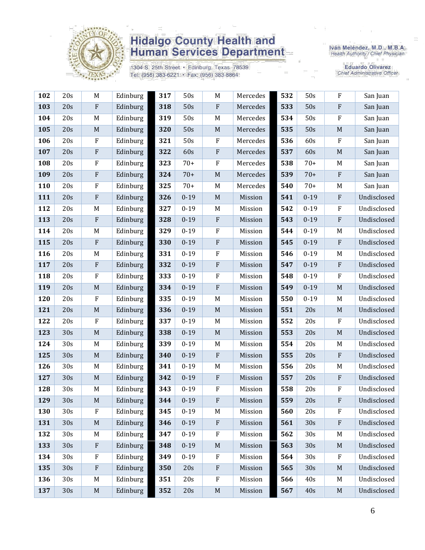

1304 S. 25th Street · Edinburg, Texas 78539 Tel: (956) 383-6221 · Fax: (956) 383-8864

Iván Meléndez, M.D., M.B.A.<br>Health Authority / Chief Physician

| 102 | 20s | M                         | Edinburg | 317 | 50s      | M                         | Mercedes | 532 | 50s      | $\rm F$      | San Juan    |
|-----|-----|---------------------------|----------|-----|----------|---------------------------|----------|-----|----------|--------------|-------------|
| 103 | 20s | ${\bf F}$                 | Edinburg | 318 | 50s      | $\rm F$                   | Mercedes | 533 | 50s      | ${\bf F}$    | San Juan    |
| 104 | 20s | M                         | Edinburg | 319 | 50s      | M                         | Mercedes | 534 | 50s      | $\rm F$      | San Juan    |
| 105 | 20s | $\mathbf M$               | Edinburg | 320 | 50s      | $\mathbf M$               | Mercedes | 535 | 50s      | $\mathbf M$  | San Juan    |
| 106 | 20s | ${\bf F}$                 | Edinburg | 321 | 50s      | ${\bf F}$                 | Mercedes | 536 | 60s      | $\rm F$      | San Juan    |
| 107 | 20s | ${\bf F}$                 | Edinburg | 322 | 60s      | $\rm F$                   | Mercedes | 537 | 60s      | $\mathbf M$  | San Juan    |
| 108 | 20s | ${\bf F}$                 | Edinburg | 323 | $70+$    | $\rm F$                   | Mercedes | 538 | $70+$    | $\mathbf M$  | San Juan    |
| 109 | 20s | ${\bf F}$                 | Edinburg | 324 | $70+$    | $\mathbf M$               | Mercedes | 539 | $70+$    | $\mathbf{F}$ | San Juan    |
| 110 | 20s | ${\bf F}$                 | Edinburg | 325 | $70+$    | M                         | Mercedes | 540 | $70+$    | M            | San Juan    |
| 111 | 20s | ${\bf F}$                 | Edinburg | 326 | $0 - 19$ | $\mathbf M$               | Mission  | 541 | $0 - 19$ | $\mathbf{F}$ | Undisclosed |
| 112 | 20s | M                         | Edinburg | 327 | $0 - 19$ | $M_{\rm}$                 | Mission  | 542 | $0 - 19$ | ${\bf F}$    | Undisclosed |
| 113 | 20s | $\boldsymbol{\mathrm{F}}$ | Edinburg | 328 | $0 - 19$ | $\rm F$                   | Mission  | 543 | $0 - 19$ | ${\bf F}$    | Undisclosed |
| 114 | 20s | M                         | Edinburg | 329 | $0 - 19$ | $\mathbf{F}$              | Mission  | 544 | $0 - 19$ | M            | Undisclosed |
| 115 | 20s | ${\bf F}$                 | Edinburg | 330 | $0 - 19$ | $\rm F$                   | Mission  | 545 | $0 - 19$ | ${\bf F}$    | Undisclosed |
| 116 | 20s | M                         | Edinburg | 331 | $0 - 19$ | $\rm F$                   | Mission  | 546 | $0 - 19$ | M            | Undisclosed |
| 117 | 20s | $\boldsymbol{\mathrm{F}}$ | Edinburg | 332 | $0 - 19$ | $\rm F$                   | Mission  | 547 | $0 - 19$ | $\mathbf{F}$ | Undisclosed |
| 118 | 20s | ${\bf F}$                 | Edinburg | 333 | $0 - 19$ | $\rm F$                   | Mission  | 548 | $0 - 19$ | $\rm F$      | Undisclosed |
| 119 | 20s | $\mathbf M$               | Edinburg | 334 | $0 - 19$ | ${\bf F}$                 | Mission  | 549 | $0 - 19$ | $\mathbf M$  | Undisclosed |
| 120 | 20s | ${\bf F}$                 | Edinburg | 335 | $0 - 19$ | M                         | Mission  | 550 | $0 - 19$ | M            | Undisclosed |
| 121 | 20s | $\mathbf M$               | Edinburg | 336 | $0 - 19$ | $\mathbf M$               | Mission  | 551 | 20s      | $\mathbf M$  | Undisclosed |
| 122 | 20s | ${\bf F}$                 | Edinburg | 337 | $0 - 19$ | $M_{\rm}$                 | Mission  | 552 | 20s      | ${\bf F}$    | Undisclosed |
| 123 | 30s | $\mathbf M$               | Edinburg | 338 | $0 - 19$ | $\mathbf M$               | Mission  | 553 | 20s      | $\mathbf M$  | Undisclosed |
| 124 | 30s | M                         | Edinburg | 339 | $0 - 19$ | M                         | Mission  | 554 | 20s      | M            | Undisclosed |
| 125 | 30s | $\mathbf M$               | Edinburg | 340 | $0 - 19$ | $\mathbf{F}$              | Mission  | 555 | 20s      | ${\bf F}$    | Undisclosed |
| 126 | 30s | M                         | Edinburg | 341 | $0 - 19$ | M                         | Mission  | 556 | 20s      | M            | Undisclosed |
| 127 | 30s | $\mathbf M$               | Edinburg | 342 | $0 - 19$ | $\rm F$                   | Mission  | 557 | 20s      | ${\bf F}$    | Undisclosed |
| 128 | 30s | M                         | Edinburg | 343 | $0 - 19$ | $\boldsymbol{\mathrm{F}}$ | Mission  | 558 | 20s      | F            | Undisclosed |
| 129 | 30s | $\mathbf M$               | Edinburg | 344 | $0 - 19$ | ${\bf F}$                 | Mission  | 559 | 20s      | $\rm F$      | Undisclosed |
| 130 | 30s | F                         | Edinburg | 345 | $0 - 19$ | M                         | Mission  | 560 | 20s      | $\rm F$      | Undisclosed |
| 131 | 30s | $\mathbf M$               | Edinburg | 346 | $0 - 19$ | $\rm F$                   | Mission  | 561 | 30s      | $\rm F$      | Undisclosed |
| 132 | 30s | $\mathbf M$               | Edinburg | 347 | $0 - 19$ | ${\bf F}$                 | Mission  | 562 | 30s      | M            | Undisclosed |
| 133 | 30s | ${\bf F}$                 | Edinburg | 348 | $0 - 19$ | $\mathbf M$               | Mission  | 563 | 30s      | $\mathbf M$  | Undisclosed |
| 134 | 30s | $\rm F$                   | Edinburg | 349 | $0 - 19$ | $\rm F$                   | Mission  | 564 | 30s      | $\rm F$      | Undisclosed |
| 135 | 30s | ${\bf F}$                 | Edinburg | 350 | 20s      | $\rm F$                   | Mission  | 565 | 30s      | $\mathbf M$  | Undisclosed |
| 136 | 30s | M                         | Edinburg | 351 | 20s      | $\rm F$                   | Mission  | 566 | 40s      | M            | Undisclosed |
| 137 | 30s | $\mathbf M$               | Edinburg | 352 | 20s      | $\mathbf M$               | Mission  | 567 | 40s      | $\mathbf M$  | Undisclosed |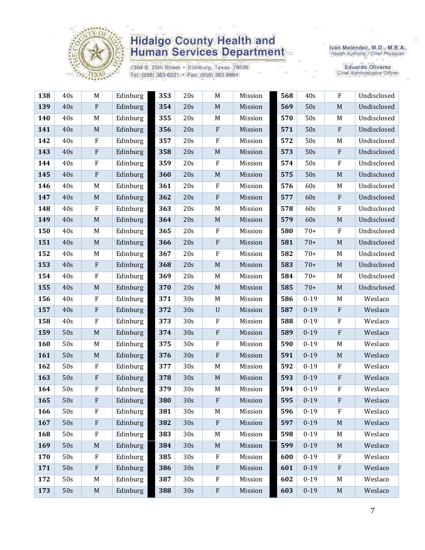

1304 S. 25th Street · Edinburg, Texas 78539 Tel: (956) 383-6221 · Fax: (956) 383-8864

Iván Meléndez, M.D., M.B.A.<br>Health Authority / Chief Physician

| 138 | 40s | M                         | Edinburg | 353 | 20s | M                         | Mission | 568 | 40s      | $\rm F$      | Undisclosed |
|-----|-----|---------------------------|----------|-----|-----|---------------------------|---------|-----|----------|--------------|-------------|
| 139 | 40s | ${\bf F}$                 | Edinburg | 354 | 20s | $\mathbf M$               | Mission | 569 | 50s      | $\mathbf M$  | Undisclosed |
| 140 | 40s | M                         | Edinburg | 355 | 20s | M                         | Mission | 570 | 50s      | M            | Undisclosed |
| 141 | 40s | $\mathbf M$               | Edinburg | 356 | 20s | $\boldsymbol{\mathrm{F}}$ | Mission | 571 | 50s      | ${\bf F}$    | Undisclosed |
| 142 | 40s | ${\bf F}$                 | Edinburg | 357 | 20s | $\rm F$                   | Mission | 572 | 50s      | M            | Undisclosed |
| 143 | 40s | ${\bf F}$                 | Edinburg | 358 | 20s | $\mathbf M$               | Mission | 573 | 50s      | ${\bf F}$    | Undisclosed |
| 144 | 40s | F                         | Edinburg | 359 | 20s | $\mathbf{F}$              | Mission | 574 | 50s      | $\rm F$      | Undisclosed |
| 145 | 40s | ${\bf F}$                 | Edinburg | 360 | 20s | $\mathbf M$               | Mission | 575 | 50s      | $\mathbf M$  | Undisclosed |
| 146 | 40s | M                         | Edinburg | 361 | 20s | $\rm F$                   | Mission | 576 | 60s      | M            | Undisclosed |
| 147 | 40s | $\mathbf M$               | Edinburg | 362 | 20s | ${\bf F}$                 | Mission | 577 | 60s      | $\mathbf{F}$ | Undisclosed |
| 148 | 40s | $\rm F$                   | Edinburg | 363 | 20s | M                         | Mission | 578 | 60s      | $\rm F$      | Undisclosed |
| 149 | 40s | $\mathbf M$               | Edinburg | 364 | 20s | $\mathbf M$               | Mission | 579 | 60s      | $\mathbf M$  | Undisclosed |
| 150 | 40s | M                         | Edinburg | 365 | 20s | $\mathbf{F}$              | Mission | 580 | $70+$    | $\rm F$      | Undisclosed |
| 151 | 40s | $\mathbf M$               | Edinburg | 366 | 20s | $\rm F$                   | Mission | 581 | $70+$    | M            | Undisclosed |
| 152 | 40s | M                         | Edinburg | 367 | 20s | $\rm F$                   | Mission | 582 | $70+$    | M            | Undisclosed |
| 153 | 40s | $\boldsymbol{\mathrm{F}}$ | Edinburg | 368 | 20s | $\mathbf M$               | Mission | 583 | $70+$    | $\mathbf M$  | Undisclosed |
| 154 | 40s | $\rm F$                   | Edinburg | 369 | 20s | M                         | Mission | 584 | $70+$    | M            | Undisclosed |
| 155 | 40s | $\mathbf M$               | Edinburg | 370 | 20s | $\mathbf M$               | Mission | 585 | $70+$    | $\mathbf M$  | Undisclosed |
| 156 | 40s | ${\bf F}$                 | Edinburg | 371 | 30s | M                         | Mission | 586 | $0 - 19$ | M            | Weslaco     |
| 157 | 40s | ${\bf F}$                 | Edinburg | 372 | 30s | $\ensuremath{\mathrm{U}}$ | Mission | 587 | $0 - 19$ | ${\bf F}$    | Weslaco     |
| 158 | 40s | F                         | Edinburg | 373 | 30s | ${\bf F}$                 | Mission | 588 | $0 - 19$ | ${\bf F}$    | Weslaco     |
| 159 | 50s | $\mathbf M$               | Edinburg | 374 | 30s | ${\bf F}$                 | Mission | 589 | $0 - 19$ | ${\bf F}$    | Weslaco     |
| 160 | 50s | M                         | Edinburg | 375 | 30s | ${\bf F}$                 | Mission | 590 | $0 - 19$ | M            | Weslaco     |
| 161 | 50s | $\mathbf M$               | Edinburg | 376 | 30s | $\rm F$                   | Mission | 591 | $0 - 19$ | $\mathbf M$  | Weslaco     |
| 162 | 50s | ${\bf F}$                 | Edinburg | 377 | 30s | $\mathbf M$               | Mission | 592 | $0 - 19$ | ${\bf F}$    | Weslaco     |
| 163 | 50s | ${\bf F}$                 | Edinburg | 378 | 30s | $\mathbf M$               | Mission | 593 | $0 - 19$ | ${\bf F}$    | Weslaco     |
| 164 | 50s | F                         | Edinburg | 379 | 30s | M                         | Mission | 594 | $0 - 19$ | $\rm F$      | Weslaco     |
| 165 | 50s | F                         | Edinburg | 380 | 30s | ${\bf F}$                 | Mission | 595 | $0 - 19$ | ${\bf F}$    | Weslaco     |
| 166 | 50s | ${\bf F}$                 | Edinburg | 381 | 30s | M                         | Mission | 596 | $0 - 19$ | F            | Weslaco     |
| 167 | 50s | $\boldsymbol{\mathrm{F}}$ | Edinburg | 382 | 30s | $\rm F$                   | Mission | 597 | $0 - 19$ | M            | Weslaco     |
| 168 | 50s | ${\bf F}$                 | Edinburg | 383 | 30s | M                         | Mission | 598 | $0 - 19$ | M            | Weslaco     |
| 169 | 50s | $\mathbf M$               | Edinburg | 384 | 30s | $\mathbf M$               | Mission | 599 | $0 - 19$ | $\mathbf M$  | Weslaco     |
| 170 | 50s | $\rm F$                   | Edinburg | 385 | 30s | $\rm F$                   | Mission | 600 | $0 - 19$ | $\rm F$      | Weslaco     |
| 171 | 50s | ${\bf F}$                 | Edinburg | 386 | 30s | ${\bf F}$                 | Mission | 601 | $0 - 19$ | $\rm F$      | Weslaco     |
| 172 | 50s | M                         | Edinburg | 387 | 30s | $\boldsymbol{\mathrm{F}}$ | Mission | 602 | $0 - 19$ | M            | Weslaco     |
| 173 | 50s | $\mathbf M$               | Edinburg | 388 | 30s | $\rm F$                   | Mission | 603 | $0 - 19$ | $\mathbf M$  | Weslaco     |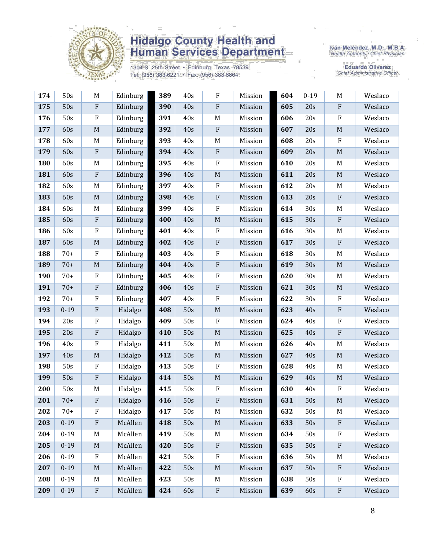

1304 S. 25th Street · Edinburg, Texas 78539 Tel: (956) 383-6221 · Fax: (956) 383-8864

Iván Meléndez, M.D., M.B.A.<br>Health Authority / Chief Physician

| 174 | 50s      | $\mathbf M$ | Edinburg | 389 | 40s | $\rm F$                   | Mission | 604 | $0 - 19$ | M           | Weslaco |
|-----|----------|-------------|----------|-----|-----|---------------------------|---------|-----|----------|-------------|---------|
| 175 | 50s      | ${\bf F}$   | Edinburg | 390 | 40s | $\rm F$                   | Mission | 605 | 20s      | $\rm F$     | Weslaco |
| 176 | 50s      | $\rm F$     | Edinburg | 391 | 40s | M                         | Mission | 606 | 20s      | ${\bf F}$   | Weslaco |
| 177 | 60s      | $\mathbf M$ | Edinburg | 392 | 40s | $\rm F$                   | Mission | 607 | 20s      | M           | Weslaco |
| 178 | 60s      | M           | Edinburg | 393 | 40s | $\mathbf M$               | Mission | 608 | 20s      | ${\bf F}$   | Weslaco |
| 179 | 60s      | $\rm F$     | Edinburg | 394 | 40s | $\rm F$                   | Mission | 609 | 20s      | $\mathbf M$ | Weslaco |
| 180 | 60s      | M           | Edinburg | 395 | 40s | $\rm F$                   | Mission | 610 | 20s      | M           | Weslaco |
| 181 | 60s      | ${\bf F}$   | Edinburg | 396 | 40s | $\mathbf M$               | Mission | 611 | 20s      | $\mathbf M$ | Weslaco |
| 182 | 60s      | $\mathbf M$ | Edinburg | 397 | 40s | $\rm F$                   | Mission | 612 | 20s      | M           | Weslaco |
| 183 | 60s      | $\mathbf M$ | Edinburg | 398 | 40s | $\rm F$                   | Mission | 613 | 20s      | ${\bf F}$   | Weslaco |
| 184 | 60s      | M           | Edinburg | 399 | 40s | $\rm F$                   | Mission | 614 | 30s      | M           | Weslaco |
| 185 | 60s      | $\rm F$     | Edinburg | 400 | 40s | $\mathbf M$               | Mission | 615 | 30s      | $\rm F$     | Weslaco |
| 186 | 60s      | F           | Edinburg | 401 | 40s | $\rm F$                   | Mission | 616 | 30s      | M           | Weslaco |
| 187 | 60s      | $\mathbf M$ | Edinburg | 402 | 40s | $\rm F$                   | Mission | 617 | 30s      | ${\bf F}$   | Weslaco |
| 188 | $70+$    | $\mathbf F$ | Edinburg | 403 | 40s | $\rm F$                   | Mission | 618 | 30s      | M           | Weslaco |
| 189 | $70+$    | $\mathbf M$ | Edinburg | 404 | 40s | $\rm F$                   | Mission | 619 | 30s      | $\mathbf M$ | Weslaco |
| 190 | $70+$    | $\rm F$     | Edinburg | 405 | 40s | $\rm F$                   | Mission | 620 | 30s      | M           | Weslaco |
| 191 | $70+$    | $\rm F$     | Edinburg | 406 | 40s | $\rm F$                   | Mission | 621 | 30s      | $\mathbf M$ | Weslaco |
| 192 | $70+$    | F           | Edinburg | 407 | 40s | $\rm F$                   | Mission | 622 | 30s      | ${\bf F}$   | Weslaco |
| 193 | $0 - 19$ | $\rm F$     | Hidalgo  | 408 | 50s | $\mathbf M$               | Mission | 623 | 40s      | ${\bf F}$   | Weslaco |
| 194 | 20s      | $\rm F$     | Hidalgo  | 409 | 50s | $\rm F$                   | Mission | 624 | 40s      | ${\bf F}$   | Weslaco |
| 195 | 20s      | ${\bf F}$   | Hidalgo  | 410 | 50s | $\mathbf M$               | Mission | 625 | 40s      | ${\bf F}$   | Weslaco |
| 196 | 40s      | ${\bf F}$   | Hidalgo  | 411 | 50s | $M_{\odot}$               | Mission | 626 | 40s      | M           | Weslaco |
| 197 | 40s      | $\mathbf M$ | Hidalgo  | 412 | 50s | $\mathbf M$               | Mission | 627 | 40s      | $\mathbf M$ | Weslaco |
| 198 | 50s      | $\rm F$     | Hidalgo  | 413 | 50s | $\rm F$                   | Mission | 628 | 40s      | M           | Weslaco |
| 199 | 50s      | $\rm F$     | Hidalgo  | 414 | 50s | $\mathbf M$               | Mission | 629 | 40s      | $\mathbf M$ | Weslaco |
| 200 | 50s      | M           | Hidalgo  | 415 | 50s | $\rm F$                   | Mission | 630 | 40s      | F           | Weslaco |
| 201 | $70+$    | ${\bf F}$   | Hidalgo  | 416 | 50s | $\boldsymbol{\mathrm{F}}$ | Mission | 631 | 50s      | $\mathbf M$ | Weslaco |
| 202 | $70+$    | F           | Hidalgo  | 417 | 50s | M                         | Mission | 632 | 50s      | M           | Weslaco |
| 203 | $0 - 19$ | $\rm F$     | McAllen  | 418 | 50s | $\mathbf M$               | Mission | 633 | 50s      | $\rm F$     | Weslaco |
| 204 | $0 - 19$ | M           | McAllen  | 419 | 50s | M                         | Mission | 634 | 50s      | F           | Weslaco |
| 205 | $0 - 19$ | $\mathbf M$ | McAllen  | 420 | 50s | $\rm F$                   | Mission | 635 | 50s      | ${\bf F}$   | Weslaco |
| 206 | $0 - 19$ | $\rm F$     | McAllen  | 421 | 50s | $\rm F$                   | Mission | 636 | 50s      | M           | Weslaco |
| 207 | $0 - 19$ | M           | McAllen  | 422 | 50s | $\mathbf M$               | Mission | 637 | 50s      | ${\bf F}$   | Weslaco |
| 208 | $0 - 19$ | M           | McAllen  | 423 | 50s | $M_{\odot}$               | Mission | 638 | 50s      | F           | Weslaco |
| 209 | $0 - 19$ | $\rm F$     | McAllen  | 424 | 60s | ${\bf F}$                 | Mission | 639 | 60s      | ${\bf F}$   | Weslaco |